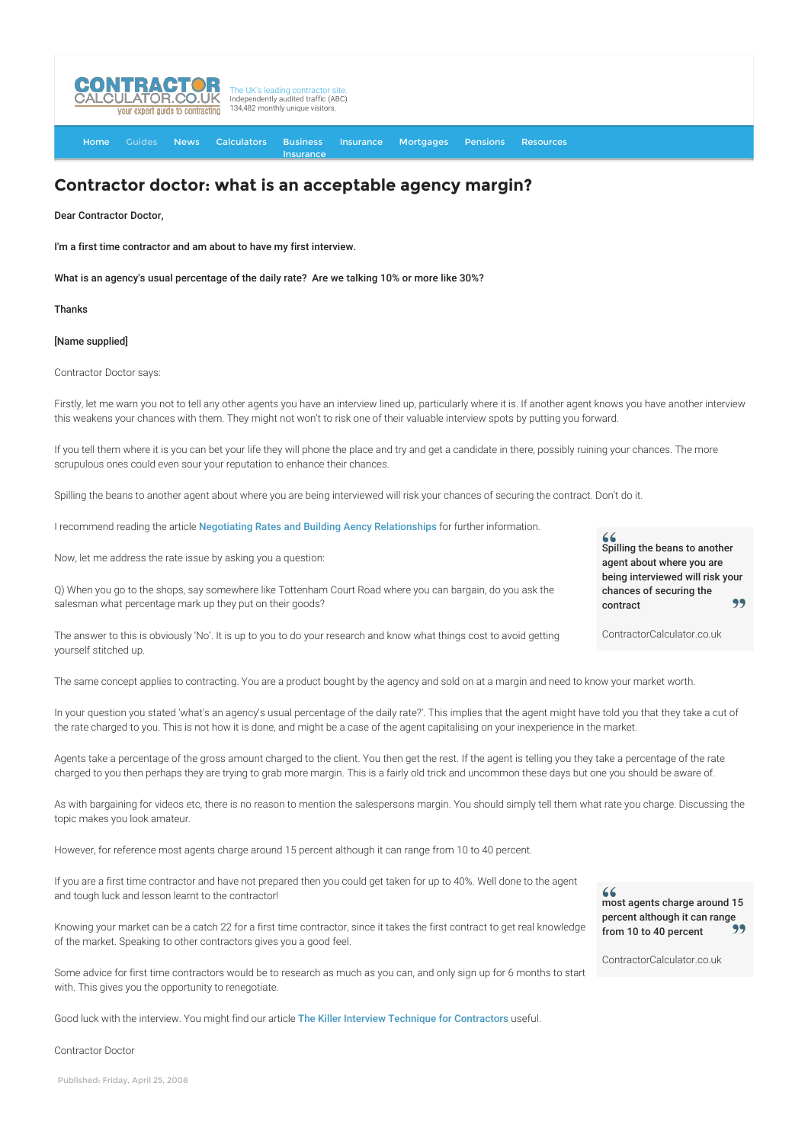

[Home](http://www.contractorcalculator.co.uk/) [Guides](http://www.contractorcalculator.co.uk/Articles.aspx) [News](http://www.contractorcalculator.co.uk/Contractor_News.aspx) [Calculators](http://www.contractorcalculator.co.uk/Calculators.aspx) Business [Insurance](http://www.contractorcalculator.co.uk/Contractor_Insurances.aspx) [Insurance](http://www.contractorcalculator.co.uk/Insurance.aspx) [Mortgages](http://www.contractorcalculator.co.uk/Contractor_Mortgages.aspx) [Pensions](http://www.contractorcalculator.co.uk/Contractor_Pensions.aspx) [Resources](http://www.contractorcalculator.co.uk/Contractor_Resources.aspx)

## **Contractor doctor: what is an acceptable agency margin?**

Dear Contractor Doctor,

I'm a first time contractor and am about to have my first interview.

What is an agency's usual percentage of the daily rate? Are we talking 10% or more like 30%?

## Thanks

## [Name supplied]

Contractor Doctor says:

Firstly, let me warn you not to tell any other agents you have an interview lined up, particularly where it is. If another agent knows you have another interview this weakens your chances with them. They might not won't to risk one of their valuable interview spots by putting you forward.

If you tell them where it is you can bet your life they will phone the place and try and get a candidate in there, possibly ruining your chances. The more scrupulous ones could even sour your reputation to enhance their chances.

Spilling the beans to another agent about where you are being interviewed will risk your chances of securing the contract. Don't do it.

I recommend reading the article [Negotiating Rates and Building Aency Relationships](http://www.contractorcalculator.co.uk/negotiating_rates_agents_building_relationships.aspx) for further information.

Now, let me address the rate issue by asking you a question:

Q) When you go to the shops, say somewhere like Tottenham Court Road where you can bargain, do you ask the salesman what percentage mark up they put on their goods?

The answer to this is obviously 'No'. It is up to you to do your research and know what things cost to avoid getting yourself stitched up.

The same concept applies to contracting. You are a product bought by the agency and sold on at a margin and need to know your market worth.

In your question you stated 'what's an agency's usual percentage of the daily rate?'. This implies that the agent might have told you that they take a cut of the rate charged to you. This is not how it is done, and might be a case of the agent capitalising on your inexperience in the market.

Agents take a percentage of the gross amount charged to the client. You then get the rest. If the agent is telling you they take a percentage of the rate charged to you then perhaps they are trying to grab more margin. This is a fairly old trick and uncommon these days but one you should be aware of.

As with bargaining for videos etc, there is no reason to mention the salespersons margin. You should simply tell them what rate you charge. Discussing the topic makes you look amateur.

However, for reference most agents charge around 15 percent although it can range from 10 to 40 percent.

If you are a first time contractor and have not prepared then you could get taken for up to 40%. Well done to the agent and tough luck and lesson learnt to the contractor!

Knowing your market can be a catch 22 for a first time contractor, since it takes the first contract to get real knowledge of the market. Speaking to other contractors gives you a good feel.

Some advice for first time contractors would be to research as much as you can, and only sign up for 6 months to start with. This gives you the opportunity to renegotiate.

Good luck with the interview. You might find our article [The Killer Interview Technique for Contractors](http://www.contractorcalculator.co.uk/killer_interview_technique_success_contractor.aspx) useful.

Contractor Doctor

 $66$ Spilling the beans to another agent about where you are being interviewed will risk your chances of securing the 99 contract

ContractorCalculator.co.uk

 $66$ most agents charge around 15 percent although it can range from 10 to 40 percent

ContractorCalculator.co.uk

Published: Friday, April 25, 2008